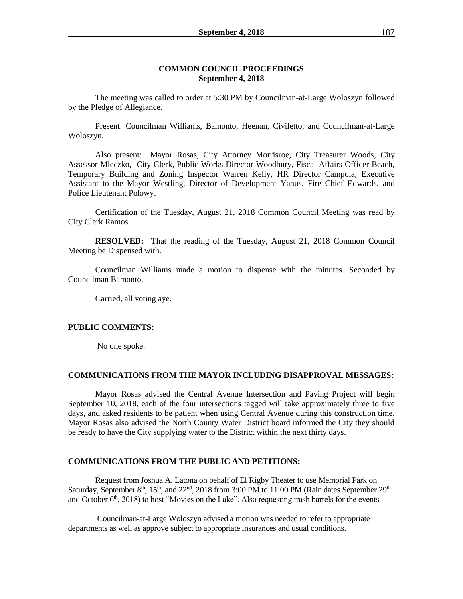### **COMMON COUNCIL PROCEEDINGS September 4, 2018**

The meeting was called to order at 5:30 PM by Councilman-at-Large Woloszyn followed by the Pledge of Allegiance.

Present: Councilman Williams, Bamonto, Heenan, Civiletto, and Councilman-at-Large Woloszyn.

Also present: Mayor Rosas, City Attorney Morrisroe, City Treasurer Woods, City Assessor Mleczko, City Clerk, Public Works Director Woodbury, Fiscal Affairs Officer Beach, Temporary Building and Zoning Inspector Warren Kelly, HR Director Campola, Executive Assistant to the Mayor Westling, Director of Development Yanus, Fire Chief Edwards, and Police Lieutenant Polowy.

Certification of the Tuesday, August 21, 2018 Common Council Meeting was read by City Clerk Ramos.

**RESOLVED:** That the reading of the Tuesday, August 21, 2018 Common Council Meeting be Dispensed with.

Councilman Williams made a motion to dispense with the minutes. Seconded by Councilman Bamonto.

Carried, all voting aye.

#### **PUBLIC COMMENTS:**

No one spoke.

#### **COMMUNICATIONS FROM THE MAYOR INCLUDING DISAPPROVAL MESSAGES:**

Mayor Rosas advised the Central Avenue Intersection and Paving Project will begin September 10, 2018, each of the four intersections tagged will take approximately three to five days, and asked residents to be patient when using Central Avenue during this construction time. Mayor Rosas also advised the North County Water District board informed the City they should be ready to have the City supplying water to the District within the next thirty days.

## **COMMUNICATIONS FROM THE PUBLIC AND PETITIONS:**

Request from Joshua A. Latona on behalf of El Rigby Theater to use Memorial Park on Saturday, September  $8<sup>th</sup>$ ,  $15<sup>th</sup>$ , and  $22<sup>nd</sup>$ ,  $2018$  from 3:00 PM to 11:00 PM (Rain dates September  $29<sup>th</sup>$ and October  $6<sup>th</sup>$ , 2018) to host "Movies on the Lake". Also requesting trash barrels for the events.

Councilman-at-Large Woloszyn advised a motion was needed to refer to appropriate departments as well as approve subject to appropriate insurances and usual conditions.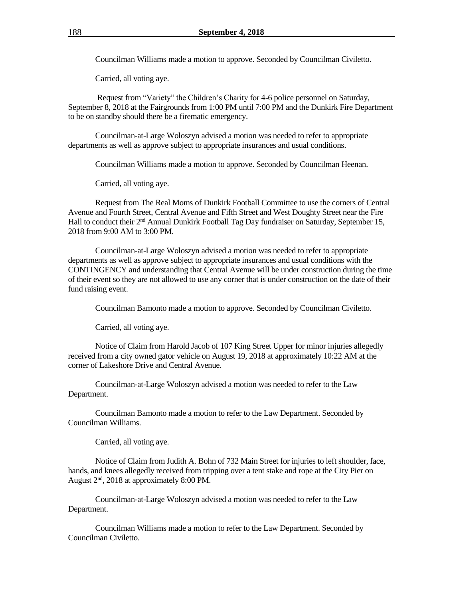Councilman Williams made a motion to approve. Seconded by Councilman Civiletto.

Carried, all voting aye.

Request from "Variety" the Children's Charity for 4-6 police personnel on Saturday, September 8, 2018 at the Fairgrounds from 1:00 PM until 7:00 PM and the Dunkirk Fire Department to be on standby should there be a firematic emergency.

Councilman-at-Large Woloszyn advised a motion was needed to refer to appropriate departments as well as approve subject to appropriate insurances and usual conditions.

Councilman Williams made a motion to approve. Seconded by Councilman Heenan.

Carried, all voting aye.

Request from The Real Moms of Dunkirk Football Committee to use the corners of Central Avenue and Fourth Street, Central Avenue and Fifth Street and West Doughty Street near the Fire Hall to conduct their 2nd Annual Dunkirk Football Tag Day fundraiser on Saturday, September 15, 2018 from 9:00 AM to 3:00 PM.

Councilman-at-Large Woloszyn advised a motion was needed to refer to appropriate departments as well as approve subject to appropriate insurances and usual conditions with the CONTINGENCY and understanding that Central Avenue will be under construction during the time of their event so they are not allowed to use any corner that is under construction on the date of their fund raising event.

Councilman Bamonto made a motion to approve. Seconded by Councilman Civiletto.

Carried, all voting aye.

Notice of Claim from Harold Jacob of 107 King Street Upper for minor injuries allegedly received from a city owned gator vehicle on August 19, 2018 at approximately 10:22 AM at the corner of Lakeshore Drive and Central Avenue.

Councilman-at-Large Woloszyn advised a motion was needed to refer to the Law Department.

Councilman Bamonto made a motion to refer to the Law Department. Seconded by Councilman Williams.

Carried, all voting aye.

Notice of Claim from Judith A. Bohn of 732 Main Street for injuries to left shoulder, face, hands, and knees allegedly received from tripping over a tent stake and rope at the City Pier on August  $2<sup>nd</sup>$ , 2018 at approximately 8:00 PM.

Councilman-at-Large Woloszyn advised a motion was needed to refer to the Law Department.

Councilman Williams made a motion to refer to the Law Department. Seconded by Councilman Civiletto.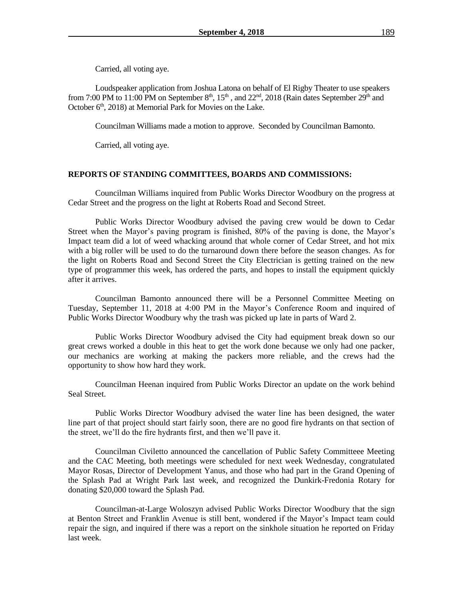Carried, all voting aye.

Loudspeaker application from Joshua Latona on behalf of El Rigby Theater to use speakers from 7:00 PM to 11:00 PM on September  $8<sup>th</sup>$ ,  $15<sup>th</sup>$ , and  $22<sup>nd</sup>$ ,  $2018$  (Rain dates September  $29<sup>th</sup>$  and October 6<sup>th</sup>, 2018) at Memorial Park for Movies on the Lake.

Councilman Williams made a motion to approve. Seconded by Councilman Bamonto.

Carried, all voting aye.

### **REPORTS OF STANDING COMMITTEES, BOARDS AND COMMISSIONS:**

Councilman Williams inquired from Public Works Director Woodbury on the progress at Cedar Street and the progress on the light at Roberts Road and Second Street.

Public Works Director Woodbury advised the paving crew would be down to Cedar Street when the Mayor's paving program is finished, 80% of the paving is done, the Mayor's Impact team did a lot of weed whacking around that whole corner of Cedar Street, and hot mix with a big roller will be used to do the turnaround down there before the season changes. As for the light on Roberts Road and Second Street the City Electrician is getting trained on the new type of programmer this week, has ordered the parts, and hopes to install the equipment quickly after it arrives.

Councilman Bamonto announced there will be a Personnel Committee Meeting on Tuesday, September 11, 2018 at 4:00 PM in the Mayor's Conference Room and inquired of Public Works Director Woodbury why the trash was picked up late in parts of Ward 2.

Public Works Director Woodbury advised the City had equipment break down so our great crews worked a double in this heat to get the work done because we only had one packer, our mechanics are working at making the packers more reliable, and the crews had the opportunity to show how hard they work.

Councilman Heenan inquired from Public Works Director an update on the work behind Seal Street.

Public Works Director Woodbury advised the water line has been designed, the water line part of that project should start fairly soon, there are no good fire hydrants on that section of the street, we'll do the fire hydrants first, and then we'll pave it.

Councilman Civiletto announced the cancellation of Public Safety Committeee Meeting and the CAC Meeting, both meetings were scheduled for next week Wednesday, congratulated Mayor Rosas, Director of Development Yanus, and those who had part in the Grand Opening of the Splash Pad at Wright Park last week, and recognized the Dunkirk-Fredonia Rotary for donating \$20,000 toward the Splash Pad.

Councilman-at-Large Woloszyn advised Public Works Director Woodbury that the sign at Benton Street and Franklin Avenue is still bent, wondered if the Mayor's Impact team could repair the sign, and inquired if there was a report on the sinkhole situation he reported on Friday last week.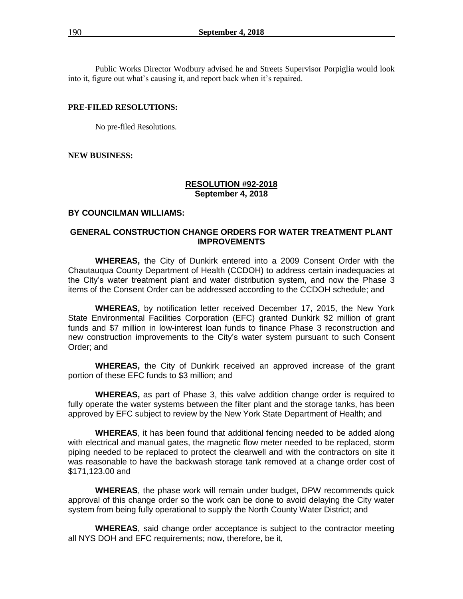Public Works Director Wodbury advised he and Streets Supervisor Porpiglia would look into it, figure out what's causing it, and report back when it's repaired.

#### **PRE-FILED RESOLUTIONS:**

No pre-filed Resolutions.

### **NEW BUSINESS:**

### **RESOLUTION #92-2018 September 4, 2018**

## **BY COUNCILMAN WILLIAMS:**

## **GENERAL CONSTRUCTION CHANGE ORDERS FOR WATER TREATMENT PLANT IMPROVEMENTS**

**WHEREAS,** the City of Dunkirk entered into a 2009 Consent Order with the Chautauqua County Department of Health (CCDOH) to address certain inadequacies at the City's water treatment plant and water distribution system, and now the Phase 3 items of the Consent Order can be addressed according to the CCDOH schedule; and

**WHEREAS,** by notification letter received December 17, 2015, the New York State Environmental Facilities Corporation (EFC) granted Dunkirk \$2 million of grant funds and \$7 million in low-interest loan funds to finance Phase 3 reconstruction and new construction improvements to the City's water system pursuant to such Consent Order; and

**WHEREAS,** the City of Dunkirk received an approved increase of the grant portion of these EFC funds to \$3 million; and

**WHEREAS,** as part of Phase 3, this valve addition change order is required to fully operate the water systems between the filter plant and the storage tanks, has been approved by EFC subject to review by the New York State Department of Health; and

**WHEREAS**, it has been found that additional fencing needed to be added along with electrical and manual gates, the magnetic flow meter needed to be replaced, storm piping needed to be replaced to protect the clearwell and with the contractors on site it was reasonable to have the backwash storage tank removed at a change order cost of \$171,123.00 and

**WHEREAS**, the phase work will remain under budget, DPW recommends quick approval of this change order so the work can be done to avoid delaying the City water system from being fully operational to supply the North County Water District; and

**WHEREAS**, said change order acceptance is subject to the contractor meeting all NYS DOH and EFC requirements; now, therefore, be it,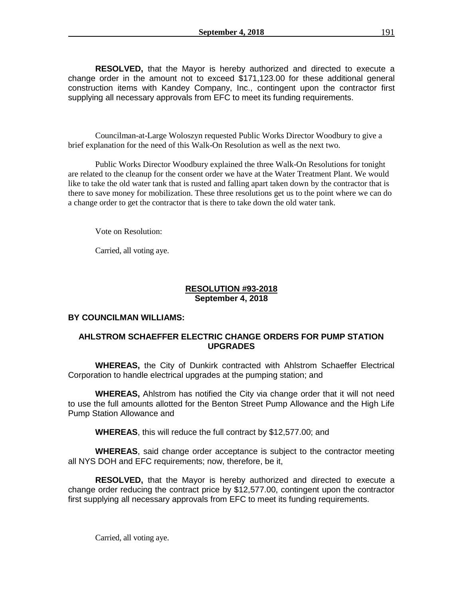**RESOLVED,** that the Mayor is hereby authorized and directed to execute a change order in the amount not to exceed \$171,123.00 for these additional general construction items with Kandey Company, Inc., contingent upon the contractor first supplying all necessary approvals from EFC to meet its funding requirements.

Councilman-at-Large Woloszyn requested Public Works Director Woodbury to give a brief explanation for the need of this Walk-On Resolution as well as the next two.

Public Works Director Woodbury explained the three Walk-On Resolutions for tonight are related to the cleanup for the consent order we have at the Water Treatment Plant. We would like to take the old water tank that is rusted and falling apart taken down by the contractor that is there to save money for mobilization. These three resolutions get us to the point where we can do a change order to get the contractor that is there to take down the old water tank.

Vote on Resolution:

Carried, all voting aye.

## **RESOLUTION #93-2018 September 4, 2018**

## **BY COUNCILMAN WILLIAMS:**

## **AHLSTROM SCHAEFFER ELECTRIC CHANGE ORDERS FOR PUMP STATION UPGRADES**

**WHEREAS,** the City of Dunkirk contracted with Ahlstrom Schaeffer Electrical Corporation to handle electrical upgrades at the pumping station; and

**WHEREAS,** Ahlstrom has notified the City via change order that it will not need to use the full amounts allotted for the Benton Street Pump Allowance and the High Life Pump Station Allowance and

**WHEREAS**, this will reduce the full contract by \$12,577.00; and

**WHEREAS**, said change order acceptance is subject to the contractor meeting all NYS DOH and EFC requirements; now, therefore, be it,

**RESOLVED,** that the Mayor is hereby authorized and directed to execute a change order reducing the contract price by \$12,577.00, contingent upon the contractor first supplying all necessary approvals from EFC to meet its funding requirements.

Carried, all voting aye.